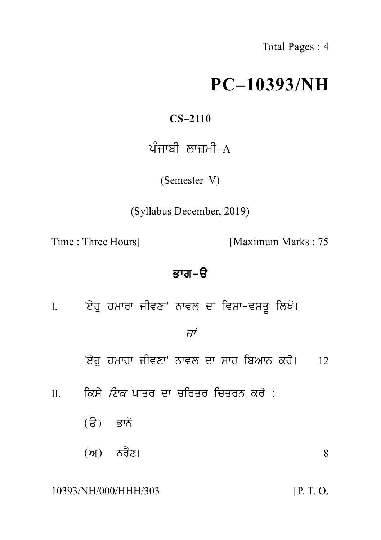Total Pages : 4

# **PC–10393/NH**

# **CS–2110**

# $C = 10392$ <br> $CS = 2110$ ਪੰਜਾਬੀ ਲਾਜ਼ਮੀ–A<br>(Semester–V)

(Semester–V)

(Syllabus December, 2019)

Time : Three Hours] [Maximum Marks : 75

ੱ<br>Bran−ੳ<br>B<br>ਨਾਵਲ ਦਾ ਵਿਸ਼ਾ−ਵਸਤੂ ਲਿਖੇ I. 'e yh u hmwrw jIvxw' nwvl dw ivSw-vsq U ilK o[

# $\vec{H}^{\dot{\tau}}$

'ਏਹ ਹਮਾਰਾ ਜੀਵਣਾ' ਨਾਵਲ ਦਾ ਸਾਰ ਬਿਆਨ ਕਰੋ। 12 ''<br>'ਏਹੁ ਹਮਾਰਾ ਜੀਵਣਾ' ਨਾਵਲ ਦਾ ਸਾਰ ਬਿਆਨ ਕਰੋ। 12<br>II. ਕਿਸੇ *ਇਕ* ਪਾਤਰ ਦਾ ਚਰਿਤਰ ਚਿਤਰਨ ਕਰੋ :<br>(ੳ) ਭਾਨੋ

- ਕਿਸੇ *ਇਕ* ਪਾਤਰ ਦਾ ਚਰਿਤਰ ਚਿਤਰਨ ਕਰੋ :<br>(ੳ) ਭਾਨੋ<br>(ਅ) ਨਰੈਣ।
	-
	- (ੳ) ਭਾਨੋ(ਅ) ਨਰੈਣ।  $\frac{1}{2}$  8

10393/NH/000/HHH/303 [P. T. O.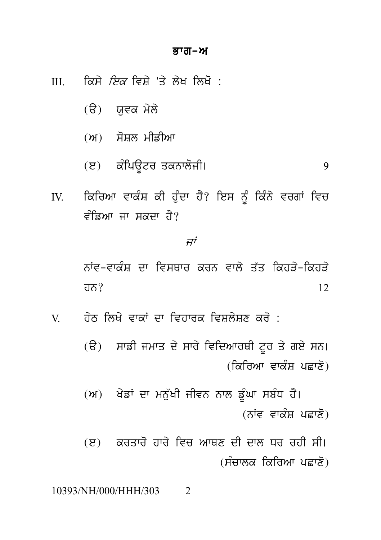## ਭਾਗ–ਅ

ਕਿਸੇ *ਇਕ* ਵਿਸ਼ੇ 'ਤੇ ਲੇਖ ਲਿਖੋ :  $III$ 

- (ੳ) ਯਵਕ ਮੇਲੇ
- (ਅ) ਸੋਸ਼ਲ ਮੀਡੀਆ
- (ੲ) ਕੰਪਿਊਟਰ ਤਕਨਾਲੋਜੀ। 9
- ਕਿਰਿਆ ਵਾਕੰਸ਼ ਕੀ ਹੁੰਦਾ ਹੈ? ਇਸ ਨੂੰ ਕਿੰਨੇ ਵਰਗਾਂ ਵਿਚ  $IV.$ *ਵੰਡਿਆ* ਜਾ ਸਕਦਾ ਹੈ?

 $\vec{H}^{\dot{\tau}}$ 

ਨਾਂਵ-ਵਾਕੰਸ਼ ਦਾ ਵਿਸਥਾਰ ਕਰਨ ਵਾਲੇ ਤੱਤ ਕਿਹਤੇ-ਕਿਹਤੇ  $\overline{d} \overline{d}$ ?  $12$ 

਼ਹੇਨ ਲਿਖੇ ਵਾਕਾਂ ਦਾ ਵਿਹਾਰਕ ਵਿਸ਼ਲੇਸ਼ਣ ਕਰੋ :  $V$ 

> (ੳ) ਸਾਡੀ ਜਮਾਤ ਦੇ ਸਾਰੇ ਵਿਦਿਆਰਥੀ ਟੂਰ ਤੇ ਗਏ ਸਨ। <u>(ਕਿਰਿਆ ਵਾਕੰਸ਼ ਪਛਾਣੋ)</u>

> (ਅ) ਖੇਡਾਂ ਦਾ ਮਨੁੱਖੀ ਜੀਵਨ ਨਾਲ ਡੂੰਘਾ ਸਬੰਧ ਹੈ। (ਨਾਂਵ ਵਾਕੰਸ਼ ਪਛਾਣੋ)

> (ੲ) ਕਰਤਾਰੋ ਹਾਰੇ ਵਿਚ ਆਥਣ ਦੀ ਦਾਲ ਧਰ ਰਹੀ ਸੀ। (ਸੰਚਾਲਕ ਕਿਰਿਆ ਪਛਾਣੋ)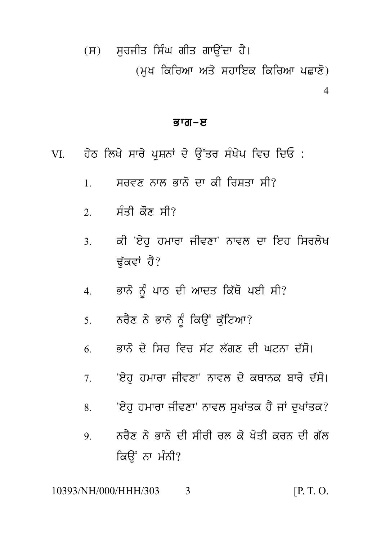(ਸ) ਸਰਜੀਤ ਸਿੰਘ ਗੀਤ ਗਾਉਂਦਾ ਹੈ। (ਮਖ ਕਿਰਿਆ ਅਤੇ ਸਹਾਇਕ ਕਿਰਿਆ ਪਛਾਣੋ)  $\overline{\mathcal{A}}$ 

# ਭਾਗ–ੲ

- ਹੇਠ ਲਿਖੇ ਸਾਰੇ ਪਸ਼ਨਾਂ ਦੇ ਉੱਤਰ ਸੰਖੇਪ ਵਿਚ ਦਿਓ : VI.
	- ਸਰਵਣ ਨਾਲ ਭਾਨੋ ਦਾ ਕੀ ਰਿਸ਼ਤਾ ਸੀ?  $\mathbf{1}$
	- 2 ਸੰਤੀ ਕੌਣ ਸੀ?
	- ਕੀ 'ਏਹ ਹਮਾਰਾ ਜੀਵਣਾ' ਨਾਵਲ ਦਾ ਇਹ ਸਿਰਲੇਖ  $\mathcal{E}$ ਢੱਕਵਾਂ ਹੈ?
	- ਭਾਨੋ ਨੂੰ ਪਾਠ ਦੀ ਆਦਤ ਕਿੱਥੋ ਪਈ ਸੀ?  $\overline{4}$
	- ਨਰੈਣ ਨੇ ਭਾਨੋ ਨੂੰ ਕਿਉਂ ਕੁੱਟਿਆ?  $5<sub>1</sub>$
	- ਭਾਨੋਂ ਦੇ ਸਿਰ ਵਿਚ ਸੱਟ ਲੱਗਣ ਦੀ ਘਟਨਾ ਦੱਸੋ। 6
	- 'ਏਹ ਹਮਾਰਾ ਜੀਵਣਾ' ਨਾਵਲ ਦੇ ਕਥਾਨਕ ਬਾਰੇ ਦੱਸੋ।  $7<sup>1</sup>$
	- 'ਏਹ ਹਮਾਰਾ ਜੀਵਣਾ' ਨਾਵਲ ਸਖਾਂਤਕ ਹੈ ਜਾਂ ਦਖਾਂਤਕ? 8.
	- ਨਰੈਣ ਨੇ ਭਾਨੋਂ ਦੀ ਸੀਰੀ ਰਲ ਕੇ ਖੇਤੀ ਕਰਨ ਦੀ ਗੱਲ 9. ਕਿੳਂ ਨਾ ਮੰਨੀ?

10393/NH/000/HHH/303  $[P, T, O]$ 3